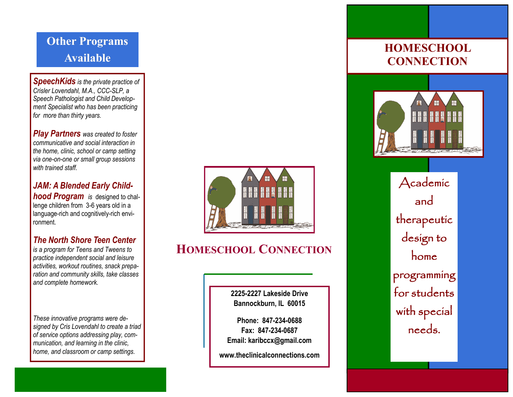## **Other Programs Available**

*SpeechKids is the private practice of Crisler Lovendahl, M.A., CCC -SLP, a Speech Pathologist and Child Development Specialist who has been practicing for more than thirty years.*

*Play Partners was created to foster communicative and social interaction in the home, clinic, school or camp setting via one -on -one or small group sessions with trained staff.*

*JAM: A Blended Early Child***hood Program** is designed to challenge children from 3-6 years old in a language -rich and cognitively -rich environment.

### *The North Shore Teen Center*

*is a program for Teens and Tweens to practice independent social and leisure activities, workout routines, snack preparation and community skills, take classes and complete homework.* 

*These innovative programs were designed by Cris Lovendahl to create a triad of service options addressing play, communication, and learning in the clinic, home, and classroom or camp settings.*



## **HOMESCHOOL CONNECTION**

**2225 -2227 Lakeside Drive Bannockburn, IL 60015**

**Phone: 847 -234 -0688 Fax: 847 -234 -0687 Email: karibccx@gmail.com**

**www.theclinicalconnections.com**

## **HOMESCHOOL CONNECTION**



Academic and therapeutic design to home programming for students with special needs.